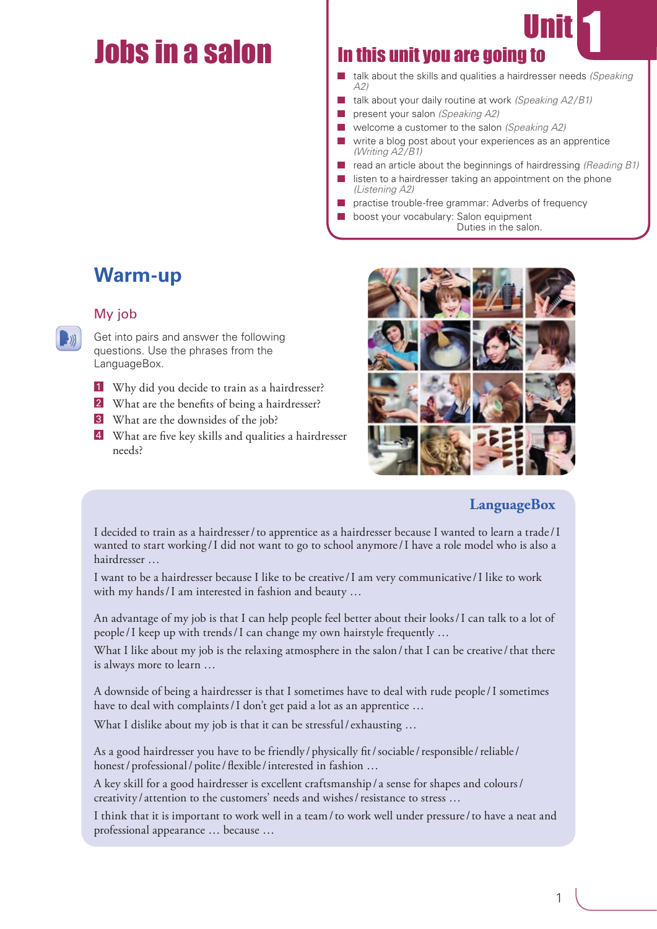# <u>Jobs in a salone and the same in this unit you are going to</u>

- talk about the skills and qualities a hairdresser needs *(Speaking A2)*
- talk about your daily routine at work *(Speaking A2/B1)*  $\sim$
- $\overline{\phantom{a}}$ present your salon *(Speaking A2)*
- welcome a customer to the salon *(Speaking A2)*
- write a blog post about your experiences as an apprentice *(Writing A2/B1)*
- read an article about the beginnings of hairdressing *(Reading B1)*
- listen to a hairdresser taking an appointment on the phone *(Listening A2)*
- practise trouble-free grammar: Adverbs of frequency
	- boost your vocabulary: Salon equipment Duties in the salon.

# **Warm-up**

# My job

Get into pairs and answer the following questions. Use the phrases from the LanguageBox.

- 1 Why did you decide to train as a hairdresser?
- 2 What are the benefits of being a hairdresser?
- 3 What are the downsides of the job?
- 4 What are five key skills and qualities a hairdresser needs?



# **LanguageBox**

I decided to train as a hairdresser/to apprentice as a hairdresser because I wanted to learn a trade/I wanted to start working /I did not want to go to school anymore/I have a role model who is also a hairdresser …

I want to be a hairdresser because I like to be creative/I am very communicative/I like to work with my hands/I am interested in fashion and beauty …

An advantage of my job is that I can help people feel better about their looks/I can talk to a lot of people/I keep up with trends/I can change my own hairstyle frequently …

What I like about my job is the relaxing atmosphere in the salon/that I can be creative/that there is always more to learn …

A downside of being a hairdresser is that I sometimes have to deal with rude people/I sometimes have to deal with complaints/I don't get paid a lot as an apprentice ...

What I dislike about my job is that it can be stressful/exhausting ...

As a good hairdresser you have to be friendly/physically fit/sociable/responsible/reliable/ honest/professional/polite/flexible/interested in fashion ...

A key skill for a good hairdresser is excellent craftsmanship/ a sense for shapes and colours/ creativity / attention to the customers' needs and wishes/resistance to stress …

I think that it is important to work well in a team/to work well under pressure/to have a neat and professional appearance … because …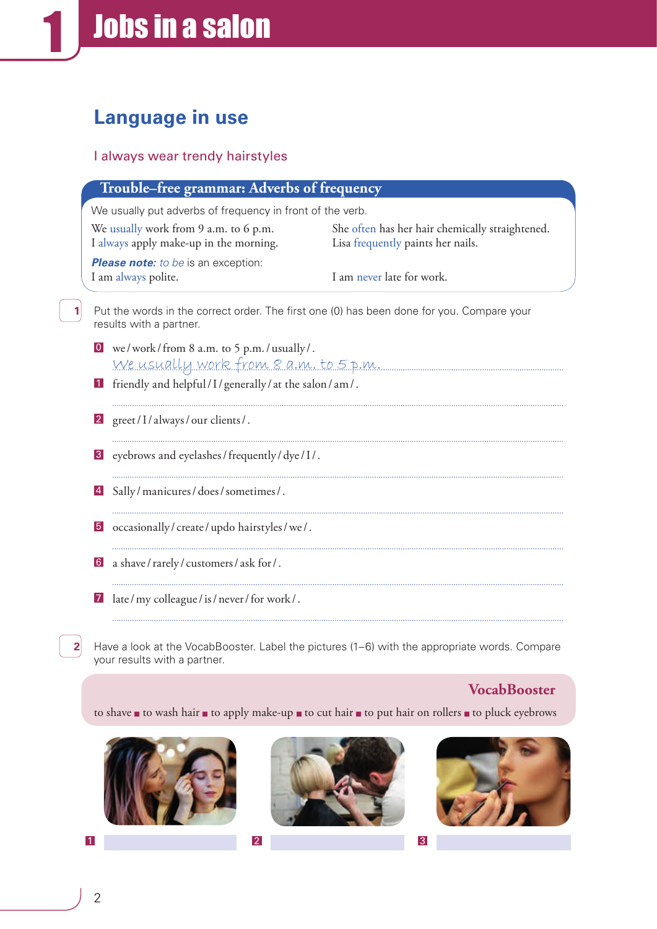# **Language in use**

# I always wear trendy hairstyles

|                  | We usually put adverbs of frequency in front of the verb.                        |                                                                                           |  |  |
|------------------|----------------------------------------------------------------------------------|-------------------------------------------------------------------------------------------|--|--|
|                  | We usually work from 9 a.m. to 6 p.m.<br>I always apply make-up in the morning.  | She often has her hair chemically straightened.<br>Lisa frequently paints her nails.      |  |  |
|                  | Please note: to be is an exception:<br>I am always polite.                       | I am never late for work.                                                                 |  |  |
|                  | results with a partner.                                                          | Put the words in the correct order. The first one (0) has been done for you. Compare your |  |  |
| 0                | we/work/from 8 a.m. to 5 p.m./usually/.<br>We usually work from 8 a.m. to 5 p.m. |                                                                                           |  |  |
| $\vert$ 1        | friendly and helpful/I/generally/at the salon/am/.                               |                                                                                           |  |  |
| 2                | greet/I/always/our clients/.                                                     |                                                                                           |  |  |
| 3 <sup>1</sup>   | eyebrows and eyelashes / frequently / dye / I /.                                 |                                                                                           |  |  |
| $\vert 4 \vert$  | Sally/manicures/does/sometimes/.                                                 |                                                                                           |  |  |
| $\vert 5 \vert$  | occasionally/create/updo hairstyles/we/.                                         |                                                                                           |  |  |
| $6 \overline{6}$ | a shave/rarely/customers/ask for/.                                               |                                                                                           |  |  |
| 7                | late/my colleague/is/never/for work/.                                            |                                                                                           |  |  |

Have a look at the VocabBooster. Label the pictures (1–6) with the appropriate words. Compare your results with a partner.

# **VocabBooster**

to shave to wash hair to apply make-up to cut hair to put hair on rollers to pluck eyebrows





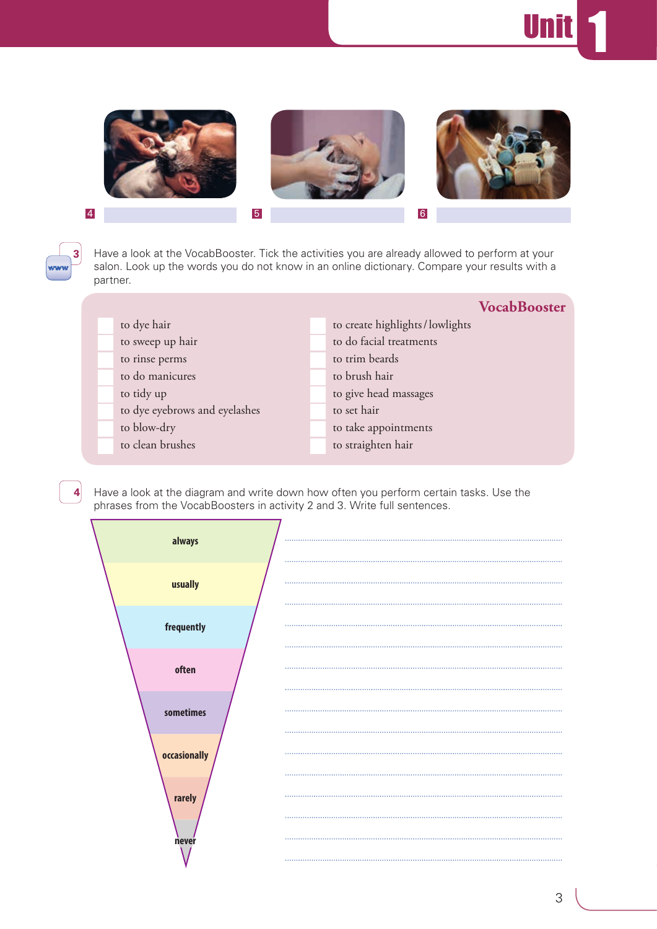# Unit <mark>1</mark>



**3**

**4**

Have a look at the VocabBooster. Tick the activities you are already allowed to perform at your salon. Look up the words you do not know in an online dictionary. Compare your results with a partner.

|                               |                                | <b>VocabBooster</b> |
|-------------------------------|--------------------------------|---------------------|
| to dye hair                   | to create highlights/lowlights |                     |
| to sweep up hair              | to do facial treatments        |                     |
| to rinse perms                | to trim beards                 |                     |
| to do manicures               | to brush hair                  |                     |
| to tidy up                    | to give head massages          |                     |
| to dye eyebrows and eyelashes | to set hair                    |                     |
| to blow-dry                   | to take appointments           |                     |
| to clean brushes              | to straighten hair             |                     |

Have a look at the diagram and write down how often you perform certain tasks. Use the phrases from the VocabBoosters in activity 2 and 3. Write full sentences.

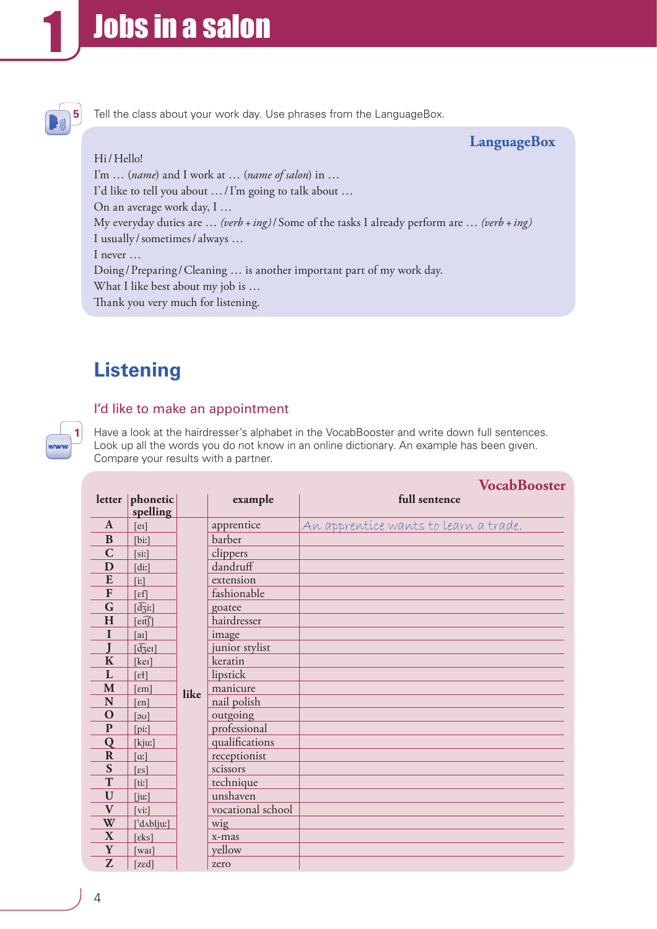

Tell the class about your work day. Use phrases from the LanguageBox.

# **LanguageBox**

Hi/Hello! I'm … (*name*) and I work at … (*name of salon*) in … I'd like to tell you about …/I'm going to talk about … On an average work day, I … My everyday duties are … *(verb+ing)*/ Some of the tasks I already perform are … *(verb+ing)* I usually/sometimes/always ... I never … Doing / Preparing / Cleaning ... is another important part of my work day. What I like best about my job is … Thank you very much for listening.

# **Listening**

**1**

## I'd like to make an appointment

Have a look at the hairdresser's alphabet in the VocabBooster and write down full sentences. Look up all the words you do not know in an online dictionary. An example has been given. Compare your results with a partner.

|              |                                                  |      |                   | <b>VocabBooster</b>                   |
|--------------|--------------------------------------------------|------|-------------------|---------------------------------------|
|              | letter $ $ phonetic                              |      | example           | full sentence                         |
|              | spelling                                         |      |                   |                                       |
| $\mathbf{A}$ | [er]                                             |      | apprentice        | An apprentíce wants to learn a trade. |
| B            | [bi!]                                            |      | barber            |                                       |
| $\mathbf C$  | [si!]                                            |      | clippers          |                                       |
| D            | [di:]                                            |      | dandruff          |                                       |
| E            | $\left[ \mathrm{ii}\right]$                      |      | extension         |                                       |
| F            | $\lceil \varepsilon f \rceil$                    |      | fashionable       |                                       |
| G            | $[\overline{d_3}i!]$                             |      | goatee            |                                       |
| H            | [eff]                                            |      | hairdresser       |                                       |
| I            | $[a_1]$                                          |      | image             |                                       |
|              | $[\widehat{\text{d}}\overline{\text{c}}\text{e}$ |      | junior stylist    |                                       |
| $\mathbf K$  | [ker]                                            |      | keratin           |                                       |
| L            | $[$ £ł]                                          |      | lipstick          |                                       |
| M            | $\lceil \varepsilon m \rceil$                    | like | manicure          |                                       |
| N            | $[\epsilon n]$                                   |      | nail polish       |                                       |
| O            | $\lceil \omega \rceil$                           |      | outgoing          |                                       |
| $\mathbf{P}$ | [pi!]                                            |      | professional      |                                       |
| Q            | [kjuː]                                           |      | qualifications    |                                       |
| $\mathbf R$  | $\lceil$ a: $\rceil$                             |      | receptionist      |                                       |
| S            | $\lceil \epsilon s \rceil$                       |      | scissors          |                                       |
| T            | [ti:]                                            |      | technique         |                                       |
| $\mathbf U$  | [i]                                              |      | unshaven          |                                       |
| $\mathbf{V}$ | $\lceil \text{vir} \rceil$                       |      | vocational school |                                       |
| W            | $\left[ \text{d} \Lambda \text{b} \right]$       |      | wig               |                                       |
| X            | $\lceil \varepsilon$ ks]                         |      | x-mas             |                                       |
| Y            | $\lceil \text{wai} \rceil$                       |      | yellow            |                                       |
| Z            | [zed]                                            |      | zero              |                                       |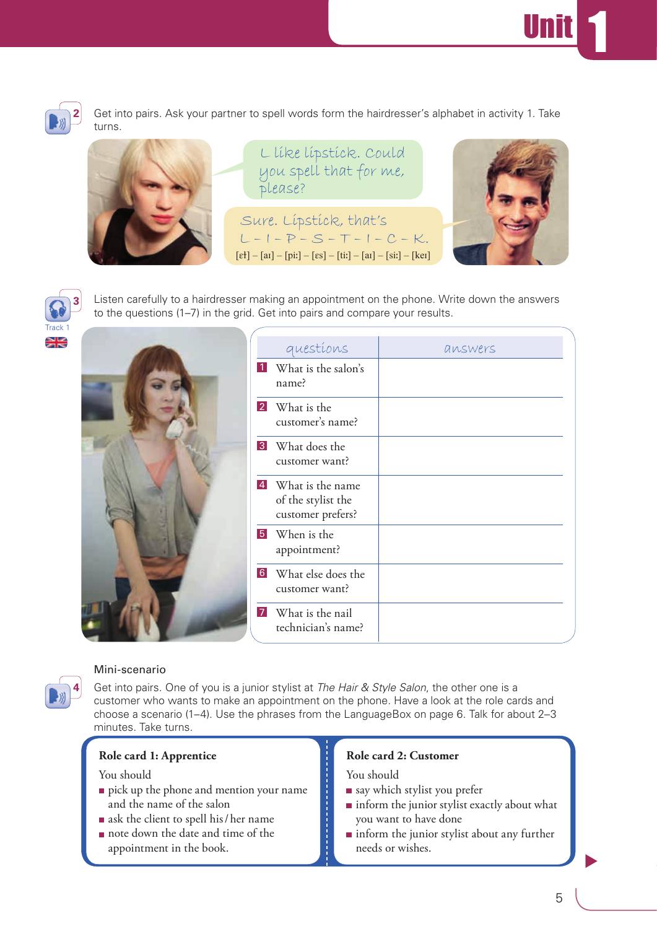



Get into pairs. Ask your partner to spell words form the hairdresser's alphabet in activity 1. Take turns.



L like lipstick. Could you spell that for me, please?

Sure. Lipstick, that's  $L - I - P - S - T - I - C - K.$  $[$ et] – [aɪ] – [piː] – [es] – [tiː] – [aɪ] – [siː] – [keɪ]



**3** Track 1

Listen carefully to a hairdresser making an appointment on the phone. Write down the answers to the questions (1–7) in the grid. Get into pairs and compare your results.

| questions                                                     | answers |
|---------------------------------------------------------------|---------|
| <b>1</b> What is the salon's<br>name?                         |         |
| 2 What is the<br>customer's name?                             |         |
| <b>3</b> What does the<br>customer want?                      |         |
| 4 What is the name<br>of the stylist the<br>customer prefers? |         |
| 5 When is the<br>appointment?                                 |         |
| 6 What else does the<br>customer want?                        |         |
| <b>7</b> What is the nail<br>technician's name?               |         |



### Mini-scenario

Get into pairs. One of you is a junior stylist at *The Hair & Style Salon*, the other one is a customer who wants to make an appointment on the phone. Have a look at the role cards and choose a scenario (1–4). Use the phrases from the LanguageBox on page 6. Talk for about 2–3 minutes. Take turns.

#### **Role card 1: Apprentice**

#### You should

- pick up the phone and mention your name and the name of the salon
- ask the client to spell his/her name
- note down the date and time of the appointment in the book.

## **Role card 2: Customer**

You should

- say which stylist you prefer
- $\blacksquare$  inform the junior stylist exactly about what you want to have done
- inform the junior stylist about any further needs or wishes.

 $\blacktriangleright$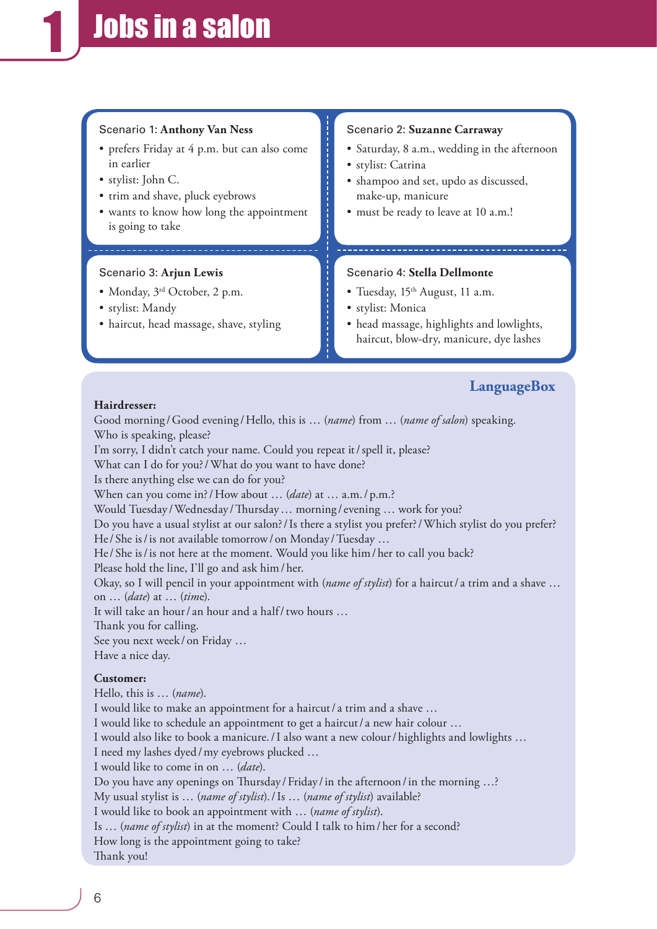## Scenario 1: **Anthony Van Ness**

- prefers Friday at 4 p.m. but can also come in earlier
- stylist: John C.
- trim and shave, pluck eyebrows
- wants to know how long the appointment is going to take

#### Scenario 3: **Arjun Lewis**

- Monday, 3<sup>rd</sup> October, 2 p.m.
- stylist: Mandy
- haircut, head massage, shave, styling

#### Scenario 2: **Suzanne Carraway**

- Saturday, 8 a.m., wedding in the afternoon
- stylist: Catrina
- shampoo and set, updo as discussed, make-up, manicure
- must be ready to leave at 10 a.m.!

#### Scenario 4: **Stella Dellmonte**

- Tuesday, 15<sup>th</sup> August, 11 a.m.
- stylist: Monica
- head massage, highlights and lowlights, haircut, blow-dry, manicure, dye lashes

# **LanguageBox**

#### **Hairdresser:**

Good morning/Good evening/Hello, this is ... (*name*) from ... (*name of salon*) speaking. Who is speaking, please?

I'm sorry, I didn't catch your name. Could you repeat it/spell it, please?

What can I do for you?/What do you want to have done?

Is there anything else we can do for you?

When can you come in?/How about … (*date*) at … a.m./p.m.?

Would Tuesday / Wednesday / Thursday ... morning / evening ... work for you?

Do you have a usual stylist at our salon?/Is there a stylist you prefer?/Which stylist do you prefer?

He/ She is/is not available tomorrow/ on Monday /Tuesday …

He/ She is/is not here at the moment. Would you like him/her to call you back?

Please hold the line, I'll go and ask him/her.

Okay, so I will pencil in your appointment with (*name of stylist*) for a haircut/ a trim and a shave … on … (*date*) at … (*tim*e).

It will take an hour/ an hour and a half/two hours …

Thank you for calling.

See you next week / on Friday …

Have a nice day.

#### **Customer:**

Hello, this is … (*name*). I would like to make an appointment for a haircut/ a trim and a shave … I would like to schedule an appointment to get a haircut/ a new hair colour … I would also like to book a manicure./I also want a new colour/highlights and lowlights … I need my lashes dyed/my eyebrows plucked … I would like to come in on … (*date*). Do you have any openings on Thursday / Friday / in the afternoon / in the morning ...? My usual stylist is … (*name of stylist*)./Is … (*name of stylist*) available? I would like to book an appointment with … (*name of stylist*). Is … (*name of stylist*) in at the moment? Could I talk to him/her for a second? How long is the appointment going to take? Thank you!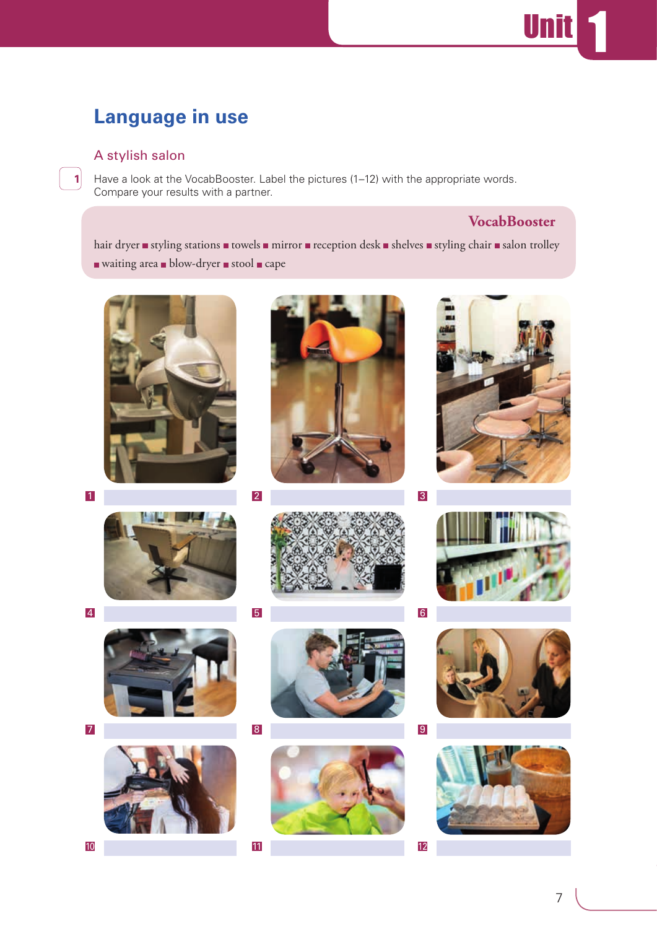# **Language in use**

# A stylish salon

**1**

Have a look at the VocabBooster. Label the pictures (1–12) with the appropriate words. Compare your results with a partner.

# **VocabBooster**

Un

hair dryer styling stations towels mirror reception desk shelves styling chair salon trolley  $\blacksquare$  waiting area  $\blacksquare$  blow-dryer  $\blacksquare$  stool  $\blacksquare$  cape















1 2 3







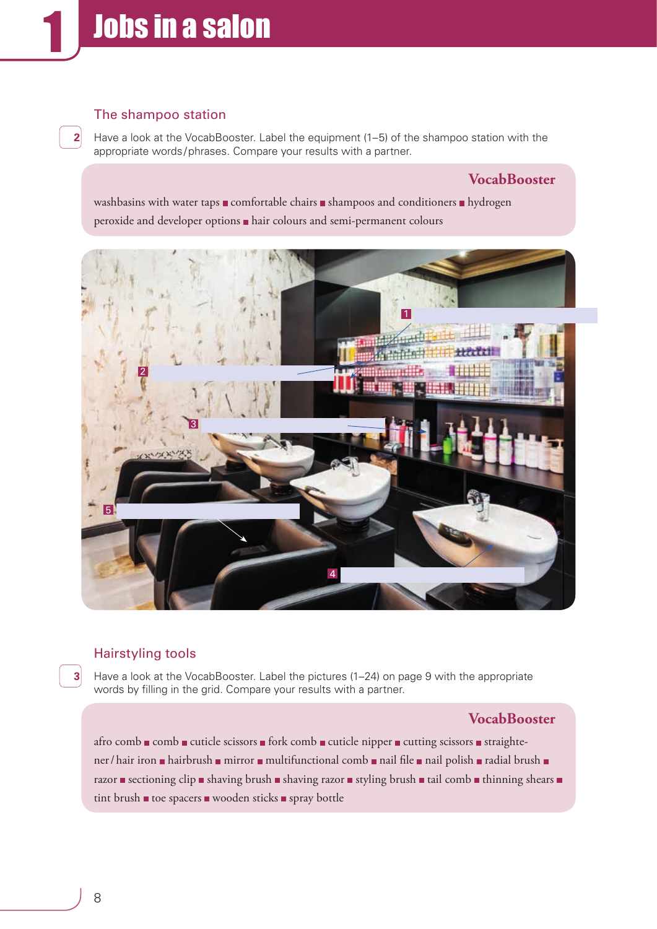# The shampoo station

**2**

Have a look at the VocabBooster. Label the equipment (1–5) of the shampoo station with the appropriate words/phrases. Compare your results with a partner.

# **VocabBooster**

washbasins with water taps  $\blacksquare$  comfortable chairs  $\blacksquare$  shampoos and conditioners  $\blacksquare$  hydrogen peroxide and developer options hair colours and semi-permanent colours



# Hairstyling tools

Have a look at the VocabBooster. Label the pictures (1–24) on page 9 with the appropriate words by filling in the grid. Compare your results with a partner.

## **VocabBooster**

afro comb  $\blacksquare$  comb  $\blacksquare$  cuticle scissors  $\blacksquare$  fork comb  $\blacksquare$  cuticle nipper  $\blacksquare$  cutting scissors  $\blacksquare$  straightener/hair iron hairbrush mirror multifunctional comb nail file nail polish radial brush n razor sectioning clip shaving brush shaving razor styling brush stail comb thinning shears  $\blacksquare$ tint brush  $\blacksquare$  toe spacers  $\blacksquare$  wooden sticks  $\blacksquare$  spray bottle

**3**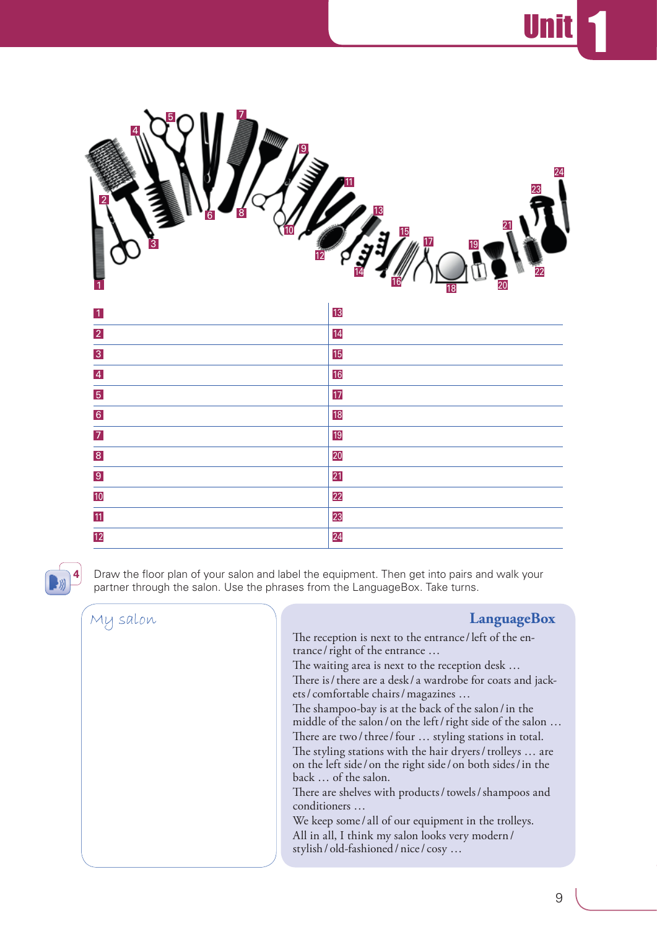Unit <mark>1</mark>

| 4<br>$\overline{9}$<br>8<br>6<br>$\overline{3}$ | 24<br>11<br>23<br>13<br>$\frac{15}{2}$<br>17<br>19<br>22<br>20<br>18 |
|-------------------------------------------------|----------------------------------------------------------------------|
| $\vert$ 1                                       | 13                                                                   |
| $\overline{2}$                                  | 14                                                                   |
| $\overline{3}$                                  | 15                                                                   |
| $\overline{4}$                                  | 16                                                                   |
| $\overline{5}$                                  | 17                                                                   |
| $\overline{6}$                                  | 18                                                                   |
| $\overline{7}$                                  | 19                                                                   |
| $\overline{8}$                                  | 20                                                                   |
| $\overline{9}$                                  | 21                                                                   |
| 10                                              | 22                                                                   |
| 11                                              | 23                                                                   |
| $\overline{12}$                                 | 24                                                                   |



Draw the floor plan of your salon and label the equipment. Then get into pairs and walk your partner through the salon. Use the phrases from the LanguageBox. Take turns.

## My salon **LanguageBox** The reception is next to the entrance/left of the entrance/right of the entrance … The waiting area is next to the reception desk … There is/there are a desk/a wardrobe for coats and jackets/ comfortable chairs/magazines … The shampoo-bay is at the back of the salon/in the middle of the salon/ on the left/right side of the salon … There are two / three / four ... styling stations in total. The styling stations with the hair dryers/trolleys … are on the left side/ on the right side/ on both sides/in the back … of the salon. There are shelves with products/towels/shampoos and conditioners … We keep some/ all of our equipment in the trolleys. All in all, I think my salon looks very modern/

stylish/ old-fashioned/nice/ cosy …